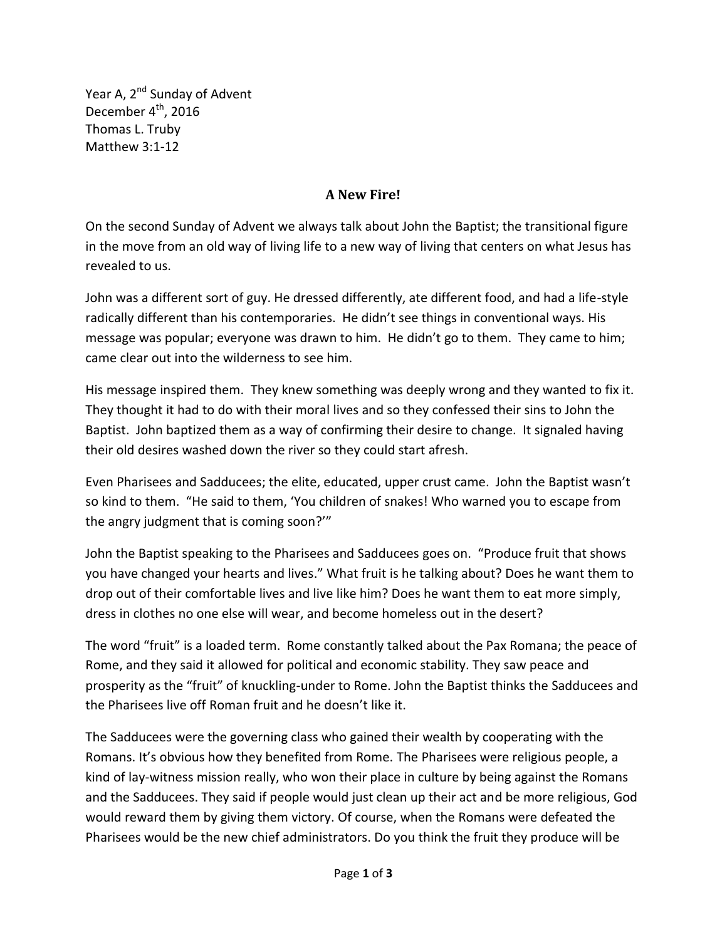Year A, 2<sup>nd</sup> Sunday of Advent December 4<sup>th</sup>, 2016 Thomas L. Truby Matthew 3:1-12

## **A New Fire!**

On the second Sunday of Advent we always talk about John the Baptist; the transitional figure in the move from an old way of living life to a new way of living that centers on what Jesus has revealed to us.

John was a different sort of guy. He dressed differently, ate different food, and had a life-style radically different than his contemporaries. He didn't see things in conventional ways. His message was popular; everyone was drawn to him. He didn't go to them. They came to him; came clear out into the wilderness to see him.

His message inspired them. They knew something was deeply wrong and they wanted to fix it. They thought it had to do with their moral lives and so they confessed their sins to John the Baptist. John baptized them as a way of confirming their desire to change. It signaled having their old desires washed down the river so they could start afresh.

Even Pharisees and Sadducees; the elite, educated, upper crust came. John the Baptist wasn't so kind to them. "He said to them, 'You children of snakes! Who warned you to escape from the angry judgment that is coming soon?'"

John the Baptist speaking to the Pharisees and Sadducees goes on. "Produce fruit that shows you have changed your hearts and lives." What fruit is he talking about? Does he want them to drop out of their comfortable lives and live like him? Does he want them to eat more simply, dress in clothes no one else will wear, and become homeless out in the desert?

The word "fruit" is a loaded term. Rome constantly talked about the Pax Romana; the peace of Rome, and they said it allowed for political and economic stability. They saw peace and prosperity as the "fruit" of knuckling-under to Rome. John the Baptist thinks the Sadducees and the Pharisees live off Roman fruit and he doesn't like it.

The Sadducees were the governing class who gained their wealth by cooperating with the Romans. It's obvious how they benefited from Rome. The Pharisees were religious people, a kind of lay-witness mission really, who won their place in culture by being against the Romans and the Sadducees. They said if people would just clean up their act and be more religious, God would reward them by giving them victory. Of course, when the Romans were defeated the Pharisees would be the new chief administrators. Do you think the fruit they produce will be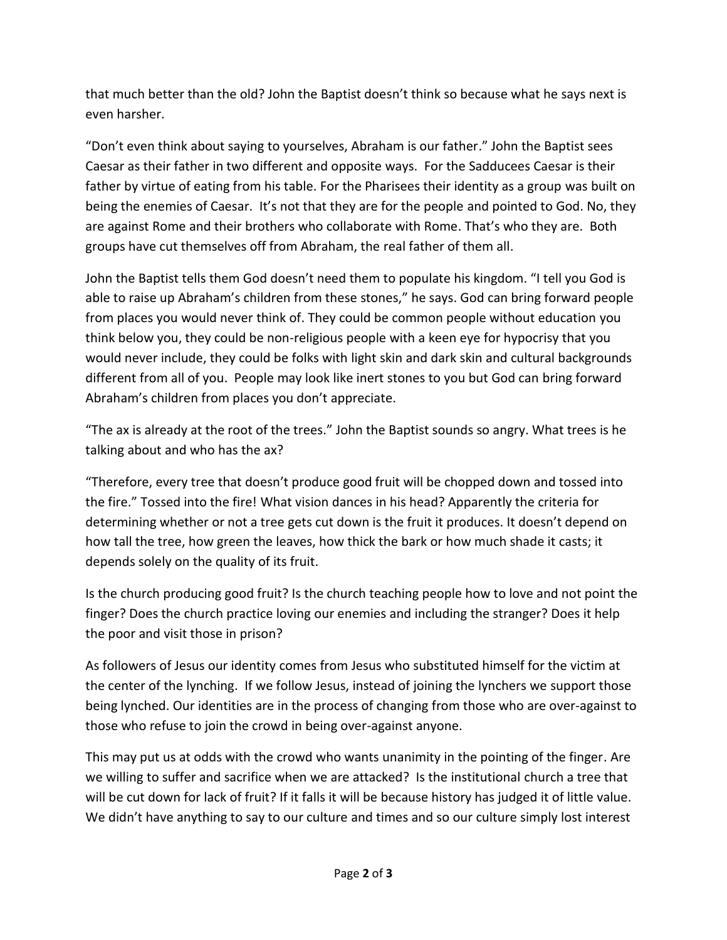that much better than the old? John the Baptist doesn't think so because what he says next is even harsher.

"Don't even think about saying to yourselves, Abraham is our father." John the Baptist sees Caesar as their father in two different and opposite ways. For the Sadducees Caesar is their father by virtue of eating from his table. For the Pharisees their identity as a group was built on being the enemies of Caesar. It's not that they are for the people and pointed to God. No, they are against Rome and their brothers who collaborate with Rome. That's who they are. Both groups have cut themselves off from Abraham, the real father of them all.

John the Baptist tells them God doesn't need them to populate his kingdom. "I tell you God is able to raise up Abraham's children from these stones," he says. God can bring forward people from places you would never think of. They could be common people without education you think below you, they could be non-religious people with a keen eye for hypocrisy that you would never include, they could be folks with light skin and dark skin and cultural backgrounds different from all of you. People may look like inert stones to you but God can bring forward Abraham's children from places you don't appreciate.

"The ax is already at the root of the trees." John the Baptist sounds so angry. What trees is he talking about and who has the ax?

"Therefore, every tree that doesn't produce good fruit will be chopped down and tossed into the fire." Tossed into the fire! What vision dances in his head? Apparently the criteria for determining whether or not a tree gets cut down is the fruit it produces. It doesn't depend on how tall the tree, how green the leaves, how thick the bark or how much shade it casts; it depends solely on the quality of its fruit.

Is the church producing good fruit? Is the church teaching people how to love and not point the finger? Does the church practice loving our enemies and including the stranger? Does it help the poor and visit those in prison?

As followers of Jesus our identity comes from Jesus who substituted himself for the victim at the center of the lynching. If we follow Jesus, instead of joining the lynchers we support those being lynched. Our identities are in the process of changing from those who are over-against to those who refuse to join the crowd in being over-against anyone.

This may put us at odds with the crowd who wants unanimity in the pointing of the finger. Are we willing to suffer and sacrifice when we are attacked? Is the institutional church a tree that will be cut down for lack of fruit? If it falls it will be because history has judged it of little value. We didn't have anything to say to our culture and times and so our culture simply lost interest